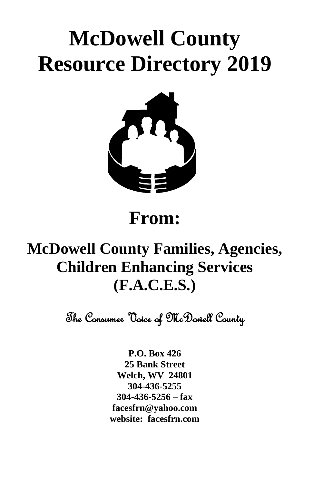# **McDowell County Resource Directory 2019**



# **From:**

# **McDowell County Families, Agencies, Children Enhancing Services (F.A.C.E.S.)**

The Consumer Voice of McDowell County

**P.O. Box 426 25 Bank Street Welch, WV 24801 304-436-5255 304-436-5256 – fax [facesfrn@yahoo.com](mailto:facesfrn@yahoo.com) website: facesfrn.com**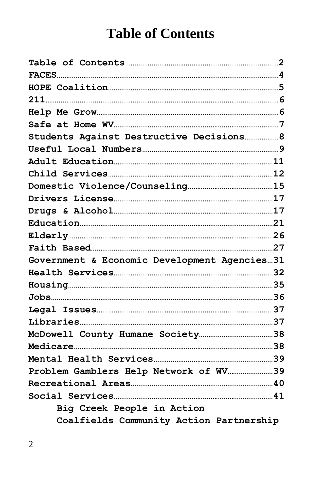# **Table of Contents**

| Students Against Destructive Decisions 8     |
|----------------------------------------------|
|                                              |
|                                              |
|                                              |
|                                              |
|                                              |
|                                              |
|                                              |
|                                              |
|                                              |
| Government & Economic Development Agencies31 |
|                                              |
|                                              |
|                                              |
|                                              |
|                                              |
|                                              |
|                                              |
|                                              |
|                                              |
| Problem Gamblers Help Network of WV39        |
|                                              |
|                                              |
| Big Creek People in Action                   |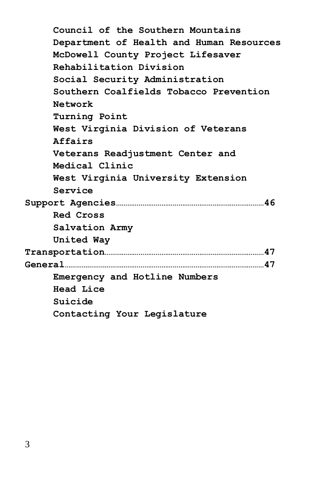**Council of the Southern Mountains Department of Health and Human Resources McDowell County Project Lifesaver Rehabilitation Division Social Security Administration Southern Coalfields Tobacco Prevention Network Turning Point West Virginia Division of Veterans Affairs Veterans Readjustment Center and Medical Clinic West Virginia University Extension Service Support Agencies……………………………………………………………………46 Red Cross Salvation Army United Way Transportation…………………………………………………………………………47 General……………………………………………………………………………………………47 Emergency and Hotline Numbers Head Lice Suicide Contacting Your Legislature**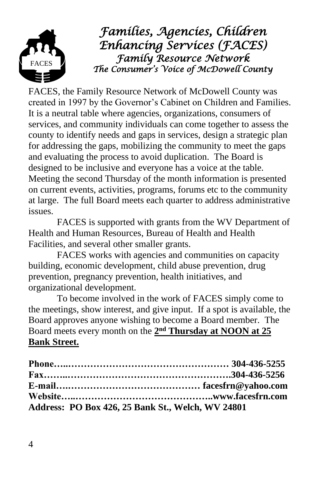

*Families, Agencies, Children Enhancing Services (FACES) Family Resource Network The Consumer's Voice of McDowell County* 

FACES, the Family Resource Network of McDowell County was created in 1997 by the Governor's Cabinet on Children and Families. It is a neutral table where agencies, organizations, consumers of services, and community individuals can come together to assess the county to identify needs and gaps in services, design a strategic plan for addressing the gaps, mobilizing the community to meet the gaps and evaluating the process to avoid duplication. The Board is designed to be inclusive and everyone has a voice at the table. Meeting the second Thursday of the month information is presented on current events, activities, programs, forums etc to the community at large. The full Board meets each quarter to address administrative issues.

FACES is supported with grants from the WV Department of Health and Human Resources, Bureau of Health and Health Facilities, and several other smaller grants.

FACES works with agencies and communities on capacity building, economic development, child abuse prevention, drug prevention, pregnancy prevention, health initiatives, and organizational development.

To become involved in the work of FACES simply come to the meetings, show interest, and give input. If a spot is available, the Board approves anyone wishing to become a Board member. The Board meets every month on the  $2<sup>nd</sup>$  **Thursday at NOON** at 25 **Bank Street.**

| Address: PO Box 426, 25 Bank St., Welch, WV 24801 |  |
|---------------------------------------------------|--|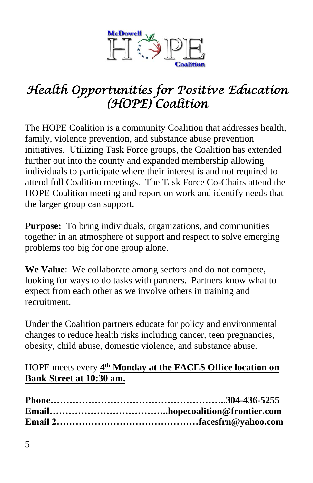

# *Health Opportunities for Positive Education (HOPE) Coalition*

The HOPE Coalition is a community Coalition that addresses health, family, violence prevention, and substance abuse prevention initiatives. Utilizing Task Force groups, the Coalition has extended further out into the county and expanded membership allowing individuals to participate where their interest is and not required to attend full Coalition meetings. The Task Force Co-Chairs attend the HOPE Coalition meeting and report on work and identify needs that the larger group can support.

**Purpose:** To bring individuals, organizations, and communities together in an atmosphere of support and respect to solve emerging problems too big for one group alone.

**We Value**: We collaborate among sectors and do not compete, looking for ways to do tasks with partners. Partners know what to expect from each other as we involve others in training and recruitment.

Under the Coalition partners educate for policy and environmental changes to reduce health risks including cancer, teen pregnancies, obesity, child abuse, domestic violence, and substance abuse.

#### HOPE meets every  $4<sup>th</sup>$  **Monday at the FACES Office location on Bank Street at 10:30 am.**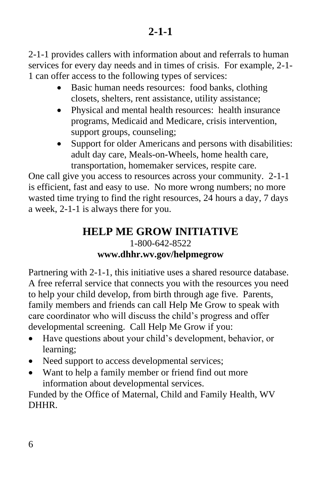2-1-1 provides callers with information about and referrals to human services for every day needs and in times of crisis. For example, 2-1- 1 can offer access to the following types of services:

- Basic human needs resources: food banks, clothing closets, shelters, rent assistance, utility assistance;
- Physical and mental health resources: health insurance programs, Medicaid and Medicare, crisis intervention, support groups, counseling;
- Support for older Americans and persons with disabilities: adult day care, Meals-on-Wheels, home health care, transportation, homemaker services, respite care.

One call give you access to resources across your community. 2-1-1 is efficient, fast and easy to use. No more wrong numbers; no more wasted time trying to find the right resources, 24 hours a day, 7 days a week, 2-1-1 is always there for you.

#### **HELP ME GROW INITIATIVE** 1-800-642-8522 **[www.dhhr.wv.gov/helpmegrow](http://www.dhhr.wv.gov/helpmegrow)**

Partnering with 2-1-1, this initiative uses a shared resource database. A free referral service that connects you with the resources you need to help your child develop, from birth through age five. Parents, family members and friends can call Help Me Grow to speak with care coordinator who will discuss the child's progress and offer developmental screening. Call Help Me Grow if you:

- Have questions about your child's development, behavior, or learning;
- Need support to access developmental services;
- Want to help a family member or friend find out more information about developmental services.

Funded by the Office of Maternal, Child and Family Health, WV DHHR.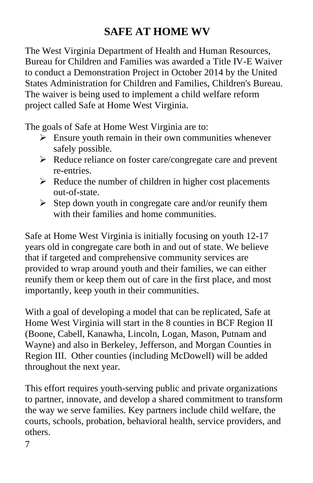# **SAFE AT HOME WV**

The West Virginia Department of Health and Human Resources, Bureau for Children and Families was awarded a Title IV-E Waiver to conduct a Demonstration Project in October 2014 by the United States Administration for Children and Families, Children's Bureau. The waiver is being used to implement a child welfare reform project called Safe at Home West Virginia.

The goals of Safe at Home West Virginia are to:

- $\triangleright$  Ensure youth remain in their own communities whenever safely possible.
- ➢ Reduce reliance on foster care/congregate care and prevent re-entries.
- $\triangleright$  Reduce the number of children in higher cost placements out-of-state.
- $\triangleright$  Step down youth in congregate care and/or reunify them with their families and home communities.

Safe at Home West Virginia is initially focusing on youth 12-17 years old in congregate care both in and out of state. We believe that if targeted and comprehensive community services are provided to wrap around youth and their families, we can either reunify them or keep them out of care in the first place, and most importantly, keep youth in their communities.

With a goal of developing a model that can be replicated, Safe at Home West Virginia will start in the 8 counties in BCF Region II (Boone, Cabell, Kanawha, Lincoln, Logan, Mason, Putnam and Wayne) and also in Berkeley, Jefferson, and Morgan Counties in Region III. Other counties (including McDowell) will be added throughout the next year.

This effort requires youth-serving public and private organizations to partner, innovate, and develop a shared commitment to transform the way we serve families. Key partners include child welfare, the courts, schools, probation, behavioral health, service providers, and others.

7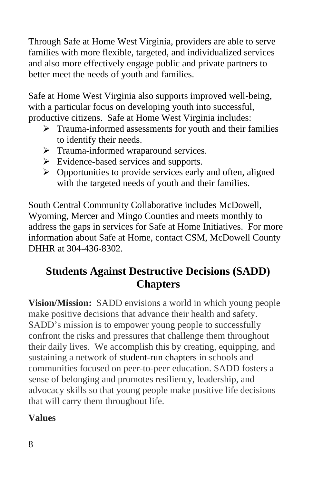Through Safe at Home West Virginia, providers are able to serve families with more flexible, targeted, and individualized services and also more effectively engage public and private partners to better meet the needs of youth and families.

Safe at Home West Virginia also supports improved well-being, with a particular focus on developing youth into successful, productive citizens. Safe at Home West Virginia includes:

- ➢ Trauma-informed assessments for youth and their families to identify their needs.
- ➢ Trauma-informed wraparound services.
- ➢ Evidence-based services and supports.
- $\triangleright$  Opportunities to provide services early and often, aligned with the targeted needs of youth and their families.

South Central Community Collaborative includes McDowell, Wyoming, Mercer and Mingo Counties and meets monthly to address the gaps in services for Safe at Home Initiatives. For more information about Safe at Home, contact CSM, McDowell County DHHR at 304-436-8302.

# **Students Against Destructive Decisions (SADD) Chapters**

**Vision/Mission:** SADD envisions a world in which young people make positive decisions that advance their health and safety. SADD's mission is to empower young people to successfully confront the risks and pressures that challenge them throughout their daily lives. We accomplish this by creating, equipping, and sustaining a network of [student-run chapters](http://www.sadd.org/who-we-are/student-of-the-year-and-student-leadership-council/) in schools and communities focused on peer-to-peer education. SADD fosters a sense of belonging and promotes resiliency, leadership, and advocacy skills so that young people make positive life decisions that will carry them throughout life.

# **Values**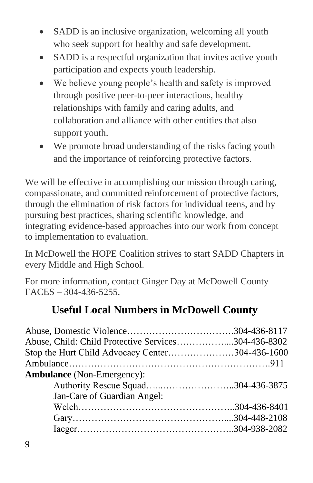- SADD is an inclusive organization, welcoming all youth who seek support for healthy and safe development.
- SADD is a respectful organization that invites active youth participation and expects youth leadership.
- We believe young people's health and safety is improved through positive peer-to-peer interactions, healthy relationships with family and caring adults, and collaboration and alliance with other entities that also support youth.
- We promote broad understanding of the risks facing youth and the importance of reinforcing protective factors.

We will be effective in accomplishing our mission through caring, compassionate, and committed reinforcement of protective factors, through the elimination of risk factors for individual teens, and by pursuing best practices, sharing scientific knowledge, and integrating evidence-based approaches into our work from concept to implementation to evaluation.

In McDowell the HOPE Coalition strives to start SADD Chapters in every Middle and High School.

For more information, contact Ginger Day at McDowell County FACES – 304-436-5255.

# **Useful Local Numbers in McDowell County**

| Abuse, Child: Child Protective Services304-436-8302 |
|-----------------------------------------------------|
| Stop the Hurt Child Advocacy Center304-436-1600     |
|                                                     |
|                                                     |
|                                                     |
|                                                     |
|                                                     |
|                                                     |
|                                                     |
|                                                     |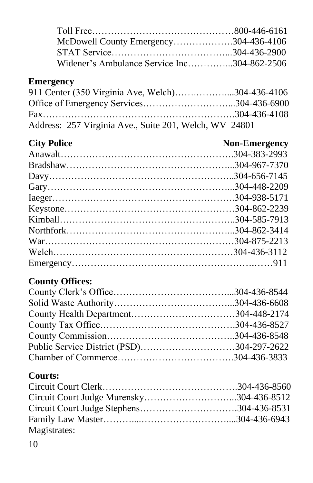| McDowell County Emergency304-436-4106       |  |
|---------------------------------------------|--|
|                                             |  |
| Widener's Ambulance Service Inc304-862-2506 |  |

## **Emergency**

| 911 Center (350 Virginia Ave, Welch)304-436-4106       |  |
|--------------------------------------------------------|--|
| Office of Emergency Services304-436-6900               |  |
|                                                        |  |
| Address: 257 Virginia Ave., Suite 201, Welch, WV 24801 |  |

# **City Police** Non-Emergency

# **County Offices:**

| Public Service District (PSD)304-297-2622 |  |
|-------------------------------------------|--|
|                                           |  |

# **Courts:**

| Magistrates: |  |
|--------------|--|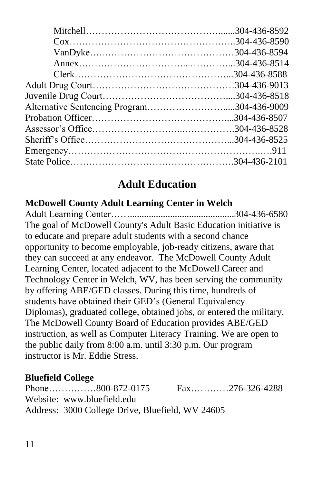| Alternative Sentencing Program304-436-9009 |  |
|--------------------------------------------|--|
|                                            |  |
|                                            |  |
|                                            |  |
|                                            |  |
|                                            |  |
|                                            |  |

# **Adult Education**

#### **McDowell County Adult Learning Center in Welch**

Adult Learning Center……............................................304-436-6580 The goal of McDowell County's Adult Basic Education initiative is to educate and prepare adult students with a second chance opportunity to become employable, job-ready citizens, aware that they can succeed at any endeavor. The McDowell County Adult Learning Center, located adjacent to the McDowell Career and Technology Center in Welch, WV, has been serving the community by offering ABE/GED classes. During this time, hundreds of students have obtained their GED's (General Equivalency Diplomas), graduated college, obtained jobs, or entered the military. The McDowell County Board of Education provides ABE/GED instruction, as well as Computer Literacy Training. We are open to the public daily from 8:00 a.m. until 3:30 p.m. Our program instructor is Mr. Eddie Stress.

# **Bluefield College**

| Phone800-872-0175                                | Fax276-326-4288 |
|--------------------------------------------------|-----------------|
| Website: www.bluefield.edu                       |                 |
| Address: 3000 College Drive, Bluefield, WV 24605 |                 |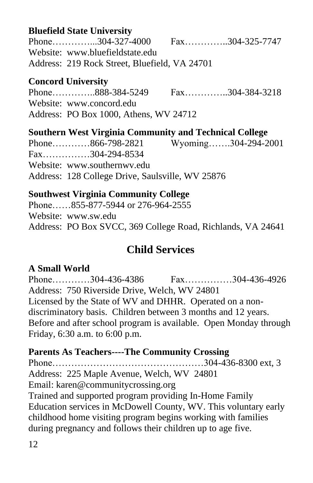#### **Bluefield State University**

Phone…………...304-327-4000 Fax…………..304-325-7747 Website: [www.bluefieldstate.edu](http://www.bluefieldstate.edu/) Address:219 Rock Street, Bluefield, VA 24701

#### **Concord University**

Phone…………..888-384-5249 Fax…………..304-384-3218 Website: [www.concord.edu](http://www.concord.edu/) Address:PO Box 1000, Athens, WV 24712

**Southern West Virginia Community and Technical College** Phone…………866-798-2821 Wyoming…….304-294-2001 Fax……………304-294-8534 Website: [www.southernwv.edu](http://www.southernwv.edu/) Address:128 College Drive, Saulsville, WV 25876

#### **Southwest Virginia Community College**

Phone……855-877-5944 or 276-964-2555 Website: [www.sw.edu](http://www.sw.edu/) Address:PO Box SVCC, 369 College Road, Richlands, VA 24641

# **Child Services**

# **A Small World**

Phone…………304-436-4386 Fax……………304-436-4926 Address:750 Riverside Drive, Welch, WV 24801 Licensed by the State of WV and DHHR. Operated on a nondiscriminatory basis. Children between 3 months and 12 years. Before and after school program is available. Open Monday through Friday, 6:30 a.m. to 6:00 p.m.

#### **Parents As Teachers----The Community Crossing**

Phone…………………………………………304-436-8300 ext, 3

Address: 225 Maple Avenue, Welch, WV 24801

Email: [karen@communitycrossing.org](mailto:karen@communitycrossing.org)

Trained and supported program providing In-Home Family Education services in McDowell County, WV. This voluntary early childhood home visiting program begins working with families during pregnancy and follows their children up to age five.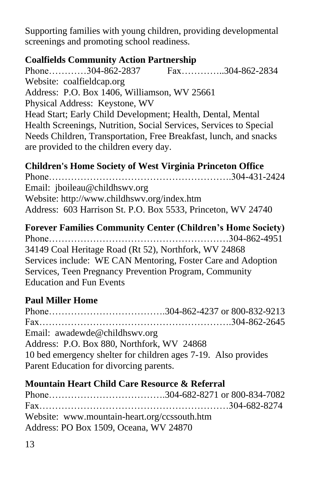Supporting families with young children, providing developmental screenings and promoting school readiness.

## **Coalfields Community Action Partnership**

Phone…………304-862-2837 Fax…………..304-862-2834 Website: coalfieldcap.org Address:P.O. Box 1406, Williamson, WV 25661 Physical Address: Keystone, WV Head Start; Early Child Development; Health, Dental, Mental Health Screenings, Nutrition, Social Services, Services to Special Needs Children, Transportation, Free Breakfast, lunch, and snacks are provided to the children every day.

**Children's Home Society of West Virginia Princeton Office** Phone………………………………………………….304-431-2424 Email: [jboileau@childhswv.org](mailto:jboileau@childhswv.org) Website:<http://www.childhswv.org/index.htm> Address: 603 Harrison St. P.O. Box 5533, Princeton, WV 24740

**Forever Families Community Center (Children's Home Society)** Phone…………………………………………………304-862-4951 34149 Coal Heritage Road (Rt 52), Northfork, WV 24868 Services include: WE CAN Mentoring, Foster Care and Adoption Services, Teen Pregnancy Prevention Program, Community Education and Fun Events

# **Paul Miller Home**

Phone……………………………….304-862-4237 or 800-832-9213 Fax…………………………………………………….304-862-2645 Email: awadewde@childhswv.org Address: P.O. Box 880, Northfork, WV 24868 10 bed emergency shelter for children ages 7-19. Also provides Parent Education for divorcing parents.

# **Mountain Heart Child Care Resource & Referral**

Phone……………………………….304-682-8271 or 800-834-7082 Fax……………………………………………………304-682-8274 Website: [www.mountain-heart.org/ccssouth.htm](http://www.mountain-heart.org/ccssouth.htm) Address: PO Box 1509, Oceana, WV 24870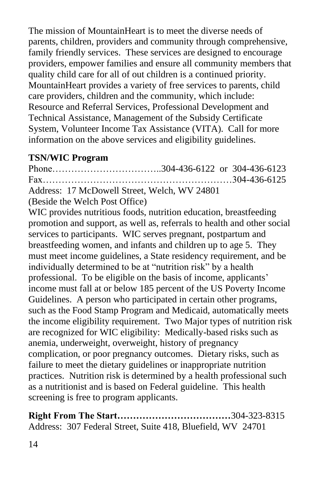The mission of MountainHeart is to meet the diverse needs of parents, children, providers and community through comprehensive, family friendly services. These services are designed to encourage providers, empower families and ensure all community members that quality child care for all of out children is a continued priority. MountainHeart provides a variety of free services to parents, child care providers, children and the community, which include: Resource and Referral Services, Professional Development and Technical Assistance, Management of the Subsidy Certificate System, Volunteer Income Tax Assistance (VITA). Call for more information on the above services and eligibility guidelines.

#### **TSN/WIC Program**

Phone……………………………..304-436-6122 or 304-436-6123 Fax……………………………………………………304-436-6125 Address: 17 McDowell Street, Welch, WV 24801 (Beside the Welch Post Office)

WIC provides nutritious foods, nutrition education, breastfeeding promotion and support, as well as, referrals to health and other social services to participants. WIC serves pregnant, postpartum and breastfeeding women, and infants and children up to age 5. They must meet income guidelines, a State residency requirement, and be individually determined to be at "nutrition risk" by a health professional. To be eligible on the basis of income, applicants' income must fall at or below 185 percent of the US Poverty Income Guidelines. A person who participated in certain other programs, such as the Food Stamp Program and Medicaid, automatically meets the income eligibility requirement. Two Major types of nutrition risk are recognized for WIC eligibility: Medically-based risks such as anemia, underweight, overweight, history of pregnancy complication, or poor pregnancy outcomes. Dietary risks, such as failure to meet the dietary guidelines or inappropriate nutrition practices. Nutrition risk is determined by a health professional such as a nutritionist and is based on Federal guideline. This health screening is free to program applicants.

**Right From The Start………………………………**304-323-8315 Address: 307 Federal Street, Suite 418, Bluefield, WV 24701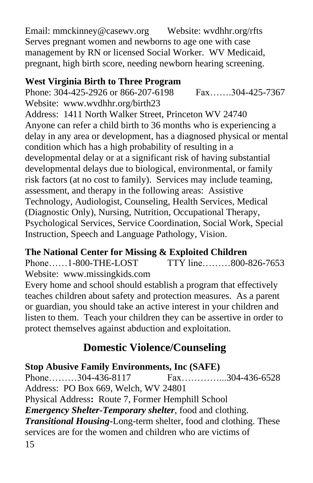Email: [mmckinney@casewv.org](mailto:mmckinney@casewv.org) Website: wvdhhr.org/rfts Serves pregnant women and newborns to age one with case management by RN or licensed Social Worker. WV Medicaid, pregnant, high birth score, needing newborn hearing screening.

#### **West Virginia Birth to Three Program**

Phone: 304-425-2926 or 866-207-6198 Fax…….304-425-7367 Website: [www.wvdhhr.org/birth23](http://www.wvdhhr.org/birth23) Address: 1411 North Walker Street, Princeton WV 24740 Anyone can refer a child birth to 36 months who is experiencing a delay in any area or development, has a diagnosed physical or mental condition which has a high probability of resulting in a developmental delay or at a significant risk of having substantial developmental delays due to biological, environmental, or family risk factors (at no cost to family). Services may include teaming, assessment, and therapy in the following areas: Assistive Technology, Audiologist, Counseling, Health Services, Medical (Diagnostic Only), Nursing, Nutrition, Occupational Therapy, Psychological Services, Service Coordination, Social Work, Special Instruction, Speech and Language Pathology, Vision.

# **The National Center for Missing & Exploited Children**

Phone……1-800-THE-LOST TTY line………800-826-7653 Website:[www.missingkids.com](http://www.missingkids.com/)

Every home and school should establish a program that effectively teaches children about safety and protection measures. As a parent or guardian, you should take an active interest in your children and listen to them. Teach your children they can be assertive in order to protect themselves against abduction and exploitation.

# **Domestic Violence/Counseling**

# **Stop Abusive Family Environments, Inc (SAFE)**

Phone………304-436-8117 Fax…………...304-436-6528 Address: PO Box 669, Welch, WV 24801 Physical Address**:** Route 7, Former Hemphill School *Emergency Shelter***-***Temporary shelter*, food and clothing. *Transitional Housing***-**Long-term shelter, food and clothing. These services are for the women and children who are victims of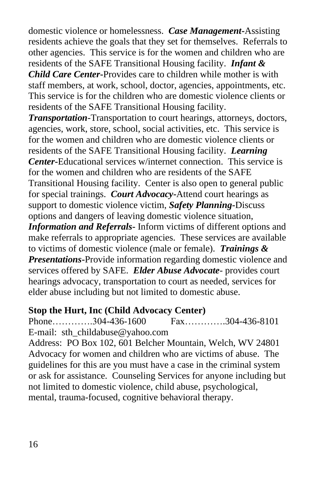domestic violence or homelessness. *Case Management***-**Assisting residents achieve the goals that they set for themselves. Referrals to other agencies. This service is for the women and children who are residents of the SAFE Transitional Housing facility. *Infant & Child Care Center***-**Provides care to children while mother is with staff members, at work, school, doctor, agencies, appointments, etc. This service is for the children who are domestic violence clients or residents of the SAFE Transitional Housing facility.

*Transportation-*Transportation to court hearings, attorneys, doctors, agencies, work, store, school, social activities, etc. This service is for the women and children who are domestic violence clients or residents of the SAFE Transitional Housing facility. *Learning Center***-**Educational services w/internet connection. This service is for the women and children who are residents of the SAFE Transitional Housing facility. Center is also open to general public for special trainings. *Court Advocacy***-**Attend court hearings as support to domestic violence victim, *Safety Planning***-**Discuss options and dangers of leaving domestic violence situation, *Information and Referrals***-** Inform victims of different options and make referrals to appropriate agencies. These services are available to victims of domestic violence (male or female). *Trainings &* 

*Presentations*-Provide information regarding domestic violence and services offered by SAFE. *Elder Abuse Advocate-* provides court hearings advocacy, transportation to court as needed, services for elder abuse including but not limited to domestic abuse.

#### **Stop the Hurt, Inc (Child Advocacy Center)**

Phone………….304-436-1600 Fax………….304-436-8101 E-mail: sth\_childabuse@yahoo.com

Address: PO Box 102, 601 Belcher Mountain, Welch, WV 24801 Advocacy for women and children who are victims of abuse. The guidelines for this are you must have a case in the criminal system or ask for assistance. Counseling Services for anyone including but not limited to domestic violence, child abuse, psychological, mental, trauma-focused, cognitive behavioral therapy.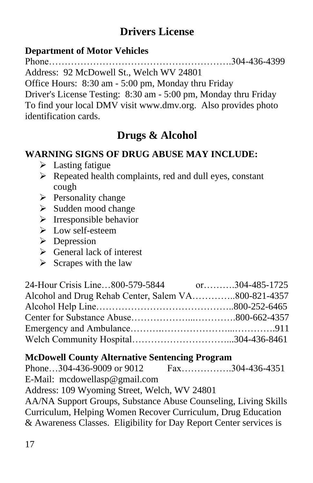# **Drivers License**

# **Department of Motor Vehicles**

Phone………………………………………………….304-436-4399

Address: 92 McDowell St., Welch WV 24801

Office Hours: 8:30 am - 5:00 pm, Monday thru Friday

Driver's License Testing: 8:30 am - 5:00 pm, Monday thru Friday To find your local DMV visit [www.dmv.org.](http://www.dmv.org/) Also provides photo identification cards.

# **Drugs & Alcohol**

# **WARNING SIGNS OF DRUG ABUSE MAY INCLUDE:**

- ➢ Lasting fatigue
- ➢ Repeated health complaints, red and dull eyes, constant cough
- ➢ Personality change
- ➢ Sudden mood change
- $\triangleright$  Irresponsible behavior
- ➢ Low self-esteem
- ➢ Depression
- $\triangleright$  General lack of interest
- $\triangleright$  Scrapes with the law

| 24-Hour Crisis Line800-579-5844                     | or304-485-1725 |
|-----------------------------------------------------|----------------|
| Alcohol and Drug Rehab Center, Salem VA800-821-4357 |                |
|                                                     |                |
|                                                     |                |
|                                                     |                |
|                                                     |                |

# **McDowell County Alternative Sentencing Program**

Phone…304-436-9009 or 9012 Fax…………….304-436-4351 E-Mail: mcdowellasp@gmail.com Address: 109 Wyoming Street, Welch, WV 24801 AA/NA Support Groups, Substance Abuse Counseling, Living Skills Curriculum, Helping Women Recover Curriculum, Drug Education & Awareness Classes. Eligibility for Day Report Center services is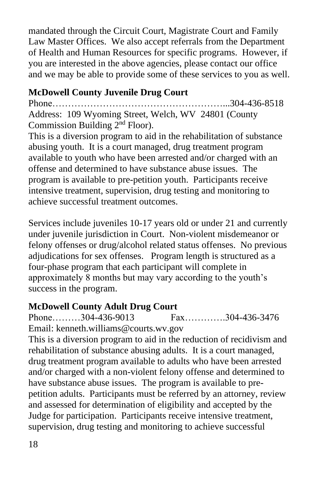mandated through the Circuit Court, Magistrate Court and Family Law Master Offices. We also accept referrals from the Department of Health and Human Resources for specific programs. However, if you are interested in the above agencies, please contact our office and we may be able to provide some of these services to you as well.

# **McDowell County Juvenile Drug Court**

Phone………………………………………………...304-436-8518 Address: 109 Wyoming Street, Welch, WV 24801 (County Commission Building 2nd Floor).

This is a diversion program to aid in the rehabilitation of substance abusing youth. It is a court managed, drug treatment program available to youth who have been arrested and/or charged with an offense and determined to have substance abuse issues. The program is available to pre-petition youth. Participants receive intensive treatment, supervision, drug testing and monitoring to achieve successful treatment outcomes.

Services include juveniles 10-17 years old or under 21 and currently under juvenile jurisdiction in Court. Non-violent misdemeanor or felony offenses or drug/alcohol related status offenses. No previous adjudications for sex offenses. Program length is structured as a four-phase program that each participant will complete in approximately 8 months but may vary according to the youth's success in the program.

# **McDowell County Adult Drug Court**

Phone………304-436-9013 Fax………….304-436-3476 Email: kenneth.williams@courts.wv.gov

This is a diversion program to aid in the reduction of recidivism and rehabilitation of substance abusing adults. It is a court managed, drug treatment program available to adults who have been arrested and/or charged with a non-violent felony offense and determined to have substance abuse issues. The program is available to prepetition adults. Participants must be referred by an attorney, review and assessed for determination of eligibility and accepted by the Judge for participation. Participants receive intensive treatment, supervision, drug testing and monitoring to achieve successful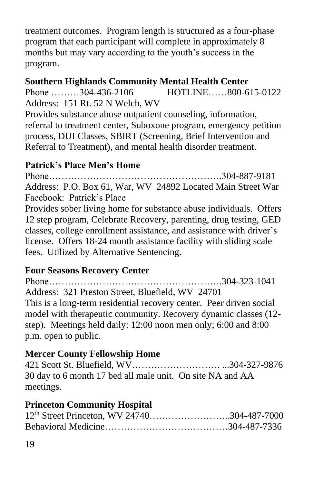treatment outcomes. Program length is structured as a four-phase program that each participant will complete in approximately 8 months but may vary according to the youth's success in the program.

#### **Southern Highlands Community Mental Health Center**

Phone ………304-436-2106 HOTLINE……800-615-0122 Address: 151 Rt. 52 N Welch, WV

Provides substance abuse outpatient counseling, information, referral to treatment center, Suboxone program, emergency petition process, DUI Classes, SBIRT (Screening, Brief Intervention and Referral to Treatment), and mental health disorder treatment.

#### **Patrick's Place Men's Home**

Phone……………………………………………….304-887-9181 Address: P.O. Box 61, War, WV 24892 Located Main Street War Facebook: Patrick's Place

Provides sober living home for substance abuse individuals. Offers 12 step program, Celebrate Recovery, parenting, drug testing, GED classes, college enrollment assistance, and assistance with driver's license. Offers 18-24 month assistance facility with sliding scale fees. Utilized by Alternative Sentencing.

# **Four Seasons Recovery Center**

Phone……………………………………………….304-323-1041 Address: 321 Preston Street, Bluefield, WV 24701 This is a long-term residential recovery center. Peer driven social model with therapeutic community. Recovery dynamic classes (12 step). Meetings held daily: 12:00 noon men only; 6:00 and 8:00 p.m. open to public.

# **Mercer County Fellowship Home**

421 Scott St. Bluefield, WV………………………. ...304-327-9876 30 day to 6 month 17 bed all male unit. On site NA and AA meetings.

#### **Princeton Community Hospital**

| 12 <sup>th</sup> Street Princeton, WV 24740304-487-7000 |  |
|---------------------------------------------------------|--|
|                                                         |  |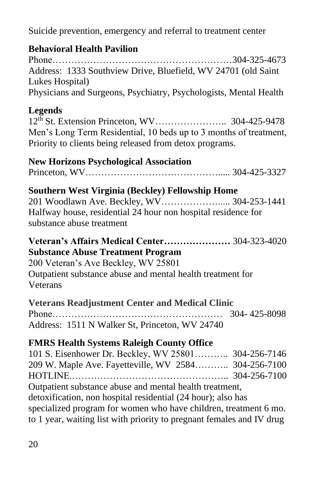Suicide prevention, emergency and referral to treatment center

# **Behavioral Health Pavilion**

Phone…………………………………………………304-325-4673 Address: 1333 Southview Drive, Bluefield, WV 24701 (old Saint Lukes Hospital) Physicians and Surgeons, Psychiatry, Psychologists, Mental Health

# **Legends**

12th St. Extension Princeton, WV………………….. 304-425-9478 Men's Long Term Residential, 10 beds up to 3 months of treatment, Priority to clients being released from detox programs.

# **New Horizons Psychological Association**

Princeton, WV……………………………………..... 304-425-3327

# **Southern West Virginia (Beckley) Fellowship Home**

201 Woodlawn Ave. Beckley, WV………………..... 304-253-1441 Halfway house, residential 24 hour non hospital residence for substance abuse treatment

#### **Veteran's Affairs Medical Center…………………** 304-323-4020 **Substance Abuse Treatment Program**

200 Veteran's Ave Beckley, WV 25801 Outpatient substance abuse and mental health treatment for Veterans

| <b>Veterans Readjustment Center and Medical Clinic</b> |  |  |
|--------------------------------------------------------|--|--|
|                                                        |  |  |
| Address: 1511 N Walker St, Princeton, WV 24740         |  |  |

# **FMRS Health Systems Raleigh County Office**

101 S. Eisenhower Dr. Beckley, WV 25801……….. 304-256-7146 209 W. Maple Ave. Fayetteville, WV 2584……….. 304-256-7100 HOTLINE.………………………………………….. 304-256-7100 Outpatient substance abuse and mental health treatment, detoxification, non hospital residential (24 hour); also has specialized program for women who have children, treatment 6 mo. to 1 year, waiting list with priority to pregnant females and IV drug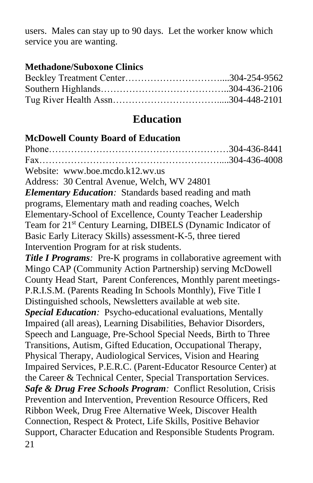users. Males can stay up to 90 days. Let the worker know which service you are wanting.

#### **Methadone/Suboxone Clinics**

# **Education**

# **McDowell County Board of Education**

21 Phone…………………………………………………304-436-8441 Fax…………………………………………………....304-436-4008 Website: [www.boe.mcdo.k12.wv.us](http://www.boe.mcdo.k12.wv.us/) Address: 30 Central Avenue, Welch, WV 24801 *Elementary Education:* Standards based reading and math programs, Elementary math and reading coaches, Welch Elementary-School of Excellence, County Teacher Leadership Team for 21st Century Learning, DIBELS (Dynamic Indicator of Basic Early Literacy Skills) assessment-K-5, three tiered Intervention Program for at risk students. *Title I Programs*: Pre-K programs in collaborative agreement with Mingo CAP (Community Action Partnership) serving McDowell County Head Start, Parent Conferences, Monthly parent meetings-P.R.I.S.M. (Parents Reading In Schools Monthly), Five Title I Distinguished schools, Newsletters available at web site. *Special Education:*Psycho-educational evaluations, Mentally Impaired (all areas), Learning Disabilities, Behavior Disorders, Speech and Language, Pre-School Special Needs, Birth to Three Transitions, Autism, Gifted Education, Occupational Therapy, Physical Therapy, Audiological Services, Vision and Hearing Impaired Services, P.E.R.C. (Parent-Educator Resource Center) at the Career & Technical Center, Special Transportation Services. *Safe & Drug Free Schools Program:*Conflict Resolution, Crisis Prevention and Intervention, Prevention Resource Officers, Red Ribbon Week, Drug Free Alternative Week, Discover Health Connection, Respect & Protect, Life Skills, Positive Behavior Support, Character Education and Responsible Students Program.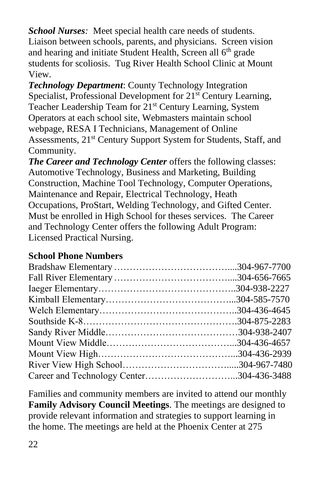*School Nurses:*Meet special health care needs of students. Liaison between schools, parents, and physicians. Screen vision and hearing and initiate Student Health, Screen all 6<sup>th</sup> grade students for scoliosis. Tug River Health School Clinic at Mount View.

*Technology Department*: County Technology Integration Specialist, Professional Development for 21<sup>st</sup> Century Learning, Teacher Leadership Team for 21<sup>st</sup> Century Learning, System Operators at each school site, Webmasters maintain school webpage, RESA I Technicians, Management of Online Assessments, 21<sup>st</sup> Century Support System for Students, Staff, and Community.

*The Career and Technology Center* offers the following classes: Automotive Technology, Business and Marketing, Building Construction, Machine Tool Technology, Computer Operations, Maintenance and Repair, Electrical Technology, Heath Occupations, ProStart, Welding Technology, and Gifted Center. Must be enrolled in High School for theses services. The Career and Technology Center offers the following Adult Program: Licensed Practical Nursing.

# **School Phone Numbers**

| Career and Technology Center304-436-3488 |
|------------------------------------------|
|                                          |

Families and community members are invited to attend our monthly **Family Advisory Council Meetings**. The meetings are designed to provide relevant information and strategies to support learning in the home. The meetings are held at the Phoenix Center at 275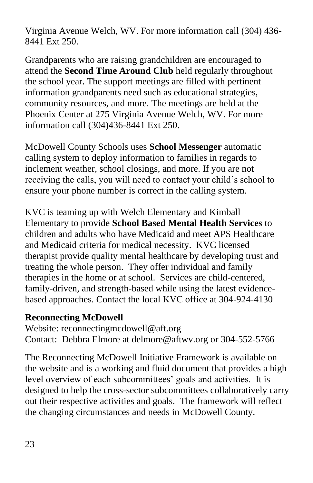Virginia Avenue Welch, WV. For more information call (304) 436- 8441 Ext 250.

Grandparents who are raising grandchildren are encouraged to attend the **Second Time Around Club** held regularly throughout the school year. The support meetings are filled with pertinent information grandparents need such as educational strategies, community resources, and more. The meetings are held at the Phoenix Center at 275 Virginia Avenue Welch, WV. For more information call (304)436-8441 Ext 250.

McDowell County Schools uses **School Messenger** automatic calling system to deploy information to families in regards to inclement weather, school closings, and more. If you are not receiving the calls, you will need to contact your child's school to ensure your phone number is correct in the calling system.

KVC is teaming up with Welch Elementary and Kimball Elementary to provide **School Based Mental Health Services** to children and adults who have Medicaid and meet APS Healthcare and Medicaid criteria for medical necessity. KVC licensed therapist provide quality mental healthcare by developing trust and treating the whole person. They offer individual and family therapies in the home or at school. Services are child-centered, family-driven, and strength-based while using the latest evidencebased approaches. Contact the local KVC office at 304-924-4130

#### **Reconnecting McDowell**

Website: [reconnectingmcdowell@aft.org](mailto:reconnectingmcdowell@aft.org) Contact: Debbra Elmore at [delmore@aftwv.org](mailto:delmore@aftwv.org) or 304-552-5766

The Reconnecting McDowell Initiative Framework is available on the website and is a working and fluid document that provides a high level overview of each subcommittees' goals and activities. It is designed to help the cross-sector subcommittees collaboratively carry out their respective activities and goals. The framework will reflect the changing circumstances and needs in McDowell County.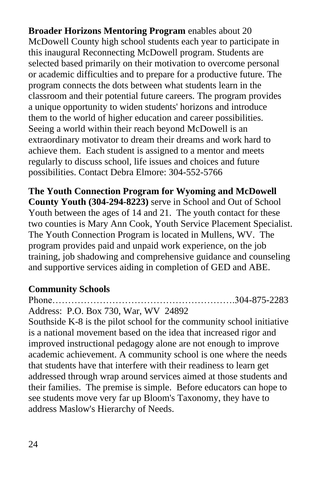**Broader Horizons Mentoring Program** enables about 20 McDowell County high school students each year to participate in this inaugural Reconnecting McDowell program. Students are selected based primarily on their motivation to overcome personal or academic difficulties and to prepare for a productive future. The program connects the dots between what students learn in the classroom and their potential future careers. The program provides a unique opportunity to widen students' horizons and introduce them to the world of higher education and career possibilities. Seeing a world within their reach beyond McDowell is an extraordinary motivator to dream their dreams and work hard to achieve them. Each student is assigned to a mentor and meets regularly to discuss school, life issues and choices and future possibilities. Contact Debra Elmore: 304-552-5766

**The Youth Connection Program for Wyoming and McDowell County Youth (304-294-8223)** serve in School and Out of School Youth between the ages of 14 and 21. The youth contact for these two counties is Mary Ann Cook, Youth Service Placement Specialist. The Youth Connection Program is located in Mullens, WV. The program provides paid and unpaid work experience, on the job training, job shadowing and comprehensive guidance and counseling and supportive services aiding in completion of GED and ABE.

#### **Community Schools**

Phone………………………………………………….304-875-2283 Address: P.O. Box 730, War, WV 24892

Southside K-8 is the pilot school for the community school initiative is a national movement based on the idea that increased rigor and improved instructional pedagogy alone are not enough to improve academic achievement. A community school is one where the needs that students have that interfere with their readiness to learn get addressed through wrap around services aimed at those students and their families. The premise is simple. Before educators can hope to see students move very far up Bloom's Taxonomy, they have to address Maslow's Hierarchy of Needs.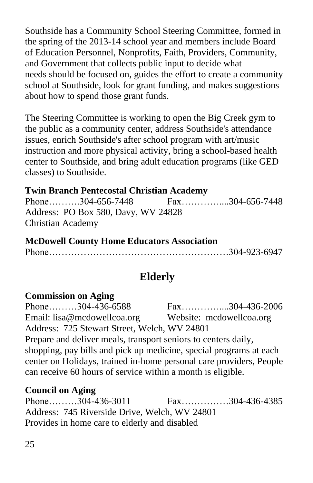Southside has a Community School Steering Committee, formed in the spring of the 2013-14 school year and members include Board of Education Personnel, Nonprofits, Faith, Providers, Community, and Government that collects public input to decide what needs should be focused on, guides the effort to create a community school at Southside, look for grant funding, and makes suggestions about how to spend those grant funds.

The Steering Committee is working to open the Big Creek gym to the public as a community center, address Southside's attendance issues, enrich Southside's after school program with art/music instruction and more physical activity, bring a school-based health center to Southside, and bring adult education programs (like GED classes) to Southside.

# **Twin Branch Pentecostal Christian Academy**

Phone……….304-656-7448 Fax…………....304-656-7448 Address:PO Box 580, Davy, WV 24828 Christian Academy

**McDowell County Home Educators Association** Phone…………………………………………………304-923-6947

# **Elderly**

#### **Commission on Aging**

Phone………304-436-6588 Fax………………304-436-2006 Email: [lisa@mcdowellcoa.org](mailto:lisa@mcdowellcoa.org) Website: mcdowellcoa.org Address: 725 Stewart Street, Welch, WV 24801 Prepare and deliver meals, transport seniors to centers daily, shopping, pay bills and pick up medicine, special programs at each center on Holidays, trained in-home personal care providers, People can receive 60 hours of service within a month is eligible.

# **Council on Aging**

Phone………304-436-3011 Fax……………304-436-4385 Address: 745 Riverside Drive, Welch, WV 24801 Provides in home care to elderly and disabled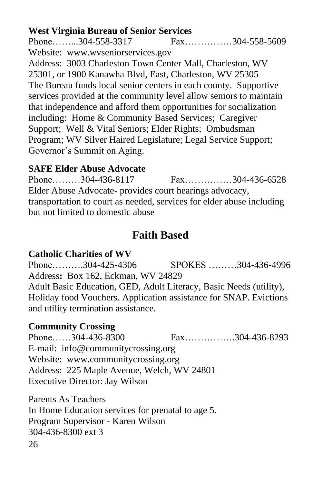**West Virginia Bureau of Senior Services**<br>Phone.........304-558-3317 Fax... Phone……...304-558-3317 Fax……………304-558-5609 Website: [www.wvseniorservices.gov](http://www.wvseniorservices.gov/) Address: 3003 Charleston Town Center Mall, Charleston, WV 25301, or 1900 Kanawha Blvd, East, Charleston, WV 25305 The Bureau funds local senior centers in each county. Supportive services provided at the community level allow seniors to maintain that independence and afford them opportunities for socialization including: Home & Community Based Services; Caregiver Support;Well & Vital Seniors; Elder Rights;Ombudsman Program; WV Silver Haired Legislature; Legal Service Support; Governor's Summit on Aging.

# **SAFE Elder Abuse Advocate**

Phone………304-436-8117 Fax……………304-436-6528 Elder Abuse Advocate*-* provides court hearings advocacy, transportation to court as needed, services for elder abuse including but not limited to domestic abuse

# **Faith Based**

# **Catholic Charities of WV**

Phone……….304-425-4306 SPOKES ………304-436-4996 Address**:** Box 162, Eckman, WV 24829 Adult Basic Education, GED, Adult Literacy, Basic Needs (utility), Holiday food Vouchers. Application assistance for SNAP. Evictions and utility termination assistance.

# **Community Crossing**

Phone……304-436-8300 Fax…………….304-436-8293 E-mail: info@communitycrossing.org Website: [www.communitycrossing.org](http://www.communitycrossing.org/) Address: 225 Maple Avenue, Welch, WV 24801 Executive Director: Jay Wilson

26 Parents As Teachers In Home Education services for prenatal to age 5. Program Supervisor - Karen Wilson 304-436-8300 ext 3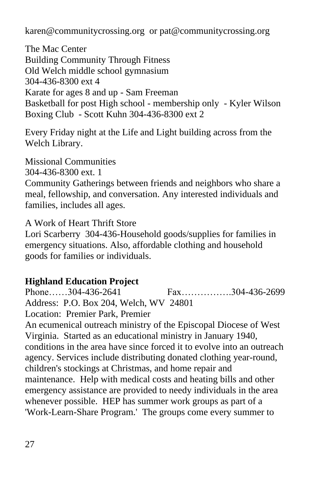[karen@communitycrossing.org](mailto:karen@communitycrossing.org) or [pat@communitycrossing.org](mailto:pat@communitycrossing.org)

The Mac Center Building Community Through Fitness Old Welch middle school gymnasium 304-436-8300 ext 4 Karate for ages 8 and up - Sam Freeman Basketball for post High school - membership only - Kyler Wilson Boxing Club - Scott Kuhn 304-436-8300 ext 2

Every Friday night at the Life and Light building across from the Welch Library.

Missional Communities 304-436-8300 ext. 1

Community Gatherings between friends and neighbors who share a meal, fellowship, and conversation. Any interested individuals and families, includes all ages.

A Work of Heart Thrift Store

Lori Scarberry 304-436-Household goods/supplies for families in emergency situations. Also, affordable clothing and household goods for families or individuals.

# **Highland Education Project**

Phone……304-436-2641 Fax…………….304-436-2699 Address: P.O. Box 204, Welch, WV 24801 Location: Premier Park, Premier An ecumenical outreach ministry of the Episcopal Diocese of West Virginia. Started as an educational ministry in January 1940, conditions in the area have since forced it to evolve into an outreach agency. Services include distributing donated clothing year-round,

children's stockings at Christmas, and home repair and maintenance. Help with medical costs and heating bills and other emergency assistance are provided to needy individuals in the area whenever possible. HEP has summer work groups as part of a 'Work-Learn-Share Program.' The groups come every summer to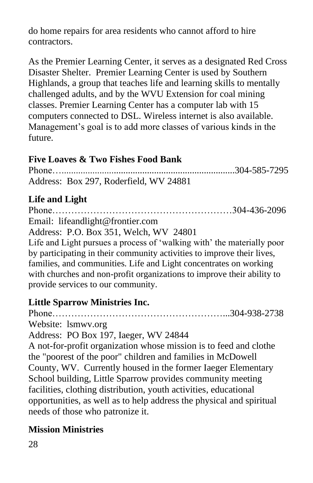do home repairs for area residents who cannot afford to hire contractors.

As the Premier Learning Center, it serves as a designated Red Cross Disaster Shelter. Premier Learning Center is used by Southern Highlands, a group that teaches life and learning skills to mentally challenged adults, and by the WVU Extension for coal mining classes. Premier Learning Center has a computer lab with 15 computers connected to DSL. Wireless internet is also available. Management's goal is to add more classes of various kinds in the future.

#### **Five Loaves & Two Fishes Food Bank**

Phone….........................................................................304-585-7295 Address: Box 297, Roderfield, WV 24881

# **Life and Light**

Phone…………………………………………………304-436-2096 Email: [lifeandlight@frontier.com](mailto:lifeandlight@frontier.com) Address: P.O. Box 351, Welch, WV 24801 Life and Light pursues a process of 'walking with' the materially poor by participating in their community activities to improve their lives, families, and communities. Life and Light concentrates on working with churches and non-profit organizations to improve their ability to provide services to our community.

# **Little Sparrow Ministries Inc.**

Phone………………………………………………...304-938-2738 Website: lsmwv.org

Address: PO Box 197, Iaeger, WV 24844

A not-for-profit organization whose mission is to feed and clothe the "poorest of the poor" children and families in McDowell County, WV. Currently housed in the former Iaeger Elementary School building, Little Sparrow provides community meeting facilities, clothing distribution, youth activities, educational opportunities, as well as to help address the physical and spiritual needs of those who patronize it.

# **Mission Ministries**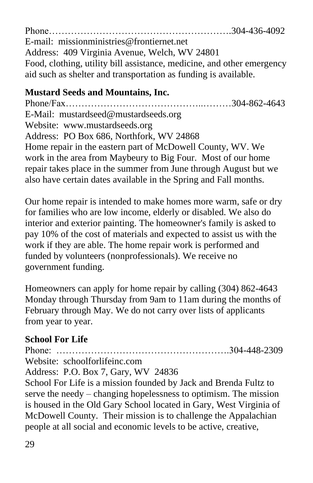Phone………………………………………………….304-436-4092 E-mail: [missionministries@frontiernet.net](mailto:missionministries@frontiernet.net) Address:409 Virginia Avenue, Welch, WV 24801 Food, clothing, utility bill assistance, medicine, and other emergency aid such as shelter and transportation as funding is available.

# **Mustard Seeds and Mountains, Inc.**

Phone/Fax……………………………………..………304-862-4643 E-Mail: [mustardseed@mustardseeds.org](mailto:mustardseed@mustardseeds.org) Website: [www.mustardseeds.org](http://www.mustardseeds.org/) Address:PO Box 686, Northfork, WV 24868 Home repair in the eastern part of McDowell County, WV. We work in the area from Maybeury to Big Four. Most of our home repair takes place in the summer from June through August but we also have certain dates available in the Spring and Fall months.

Our home repair is intended to make homes more warm, safe or dry for families who are low income, elderly or disabled. We also do interior and exterior painting. The homeowner's family is asked to pay 10% of the cost of materials and expected to assist us with the work if they are able. The home repair work is performed and funded by volunteers (nonprofessionals). We receive no government funding.

Homeowners can apply for home repair by calling (304) 862-4643 Monday through Thursday from 9am to 11am during the months of February through May. We do not carry over lists of applicants from year to year.

# **School For Life**

Phone: ……………………………………………….304-448-2309 Website: schoolforlifeinc.com Address: P.O. Box 7, Gary, WV 24836

School For Life is a mission founded by Jack and Brenda Fultz to serve the needy – changing hopelessness to optimism. The mission is housed in the Old Gary School located in Gary, West Virginia of McDowell County. Their mission is to challenge the Appalachian people at all social and economic levels to be active, creative,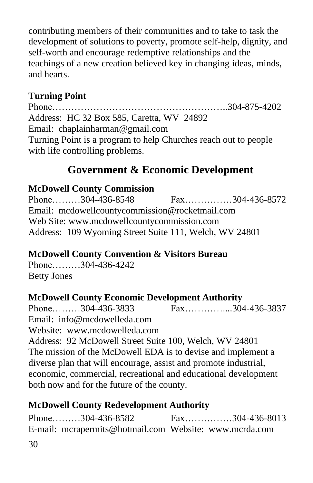contributing members of their communities and to take to task the development of solutions to poverty, promote self-help, dignity, and self-worth and encourage redemptive relationships and the teachings of a new creation believed key in changing ideas, minds, and hearts.

# **Turning Point**

Phone………………………………………………..304-875-4202 Address: HC 32 Box 585, Caretta, WV 24892 Email: [chaplainharman@gmail.com](mailto:chaplainharman@gmail.com) Turning Point is a program to help Churches reach out to people with life controlling problems.

# **Government & Economic Development**

#### **McDowell County Commission**

Phone………304-436-8548 Fax……………304-436-8572 Email: [mcdowellcountycommission@rocketmail.com](mailto:mcdowellcountycommission@rocketmail.com) Web Site: [www.mcdowellcountycommission.com](http://www.mcdowellcountycommission.com/) Address: 109 Wyoming Street Suite 111, Welch, WV 24801

# **McDowell County Convention & Visitors Bureau**

Phone………304-436-4242 Betty Jones

# **McDowell County Economic Development Authority**

Phone………304-436-3833 Fax…………....304-436-3837 Email: [info@mcdowelleda.com](mailto:info@mcdowelleda.com) Website: [www.mcdowelleda.com](http://www.mcdowelleda.com/) Address: 92 McDowell Street Suite 100, Welch, WV 24801 The mission of the McDowell EDA is to devise and implement a diverse plan that will encourage, assist and promote industrial, economic, commercial, recreational and educational development both now and for the future of the county.

# **McDowell County Redevelopment Authority**

30 Phone………304-436-8582 Fax……………304-436-8013 E-mail: [mcrapermits@hotmail.com](mailto:mcrapermits@hotmail.com) Website: [www.mcrda.com](http://www.mcrda.com/)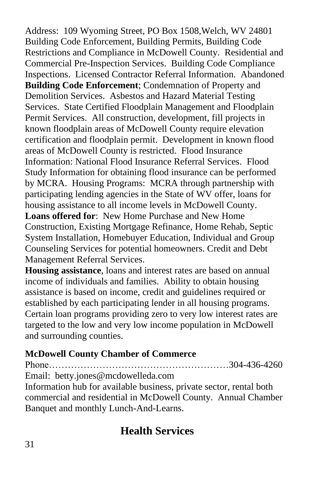Address:109 Wyoming Street, PO Box 1508,Welch, WV 24801 Building Code Enforcement, Building Permits, Building Code Restrictions and Compliance in McDowell County. Residential and Commercial Pre-Inspection Services. Building Code Compliance Inspections. Licensed Contractor Referral Information. Abandoned **Building Code Enforcement**; Condemnation of Property and Demolition Services. Asbestos and Hazard Material Testing Services. State Certified Floodplain Management and Floodplain Permit Services. All construction, development, fill projects in known floodplain areas of McDowell County require elevation certification and floodplain permit. Development in known flood areas of McDowell County is restricted. Flood Insurance Information: National Flood Insurance Referral Services. Flood Study Information for obtaining flood insurance can be performed by MCRA. Housing Programs: MCRA through partnership with participating lending agencies in the State of WV offer, loans for housing assistance to all income levels in McDowell County. **Loans offered for**: New Home Purchase and New Home Construction, Existing Mortgage Refinance, Home Rehab, Septic System Installation, Homebuyer Education, Individual and Group Counseling Services for potential homeowners. Credit and Debt Management Referral Services.

**Housing assistance**, loans and interest rates are based on annual income of individuals and families. Ability to obtain housing assistance is based on income, credit and guidelines required or established by each participating lender in all housing programs. Certain loan programs providing zero to very low interest rates are targeted to the low and very low income population in McDowell and surrounding counties.

# **McDowell County Chamber of Commerce**

Phone…………………………………………………304-436-4260 Email: [betty.jones@mcdowelleda.com](mailto:betty.jones@mcdowelleda.com) Information hub for available business, private sector, rental both commercial and residential in McDowell County. Annual Chamber Banquet and monthly Lunch-And-Learns.

# **Health Services**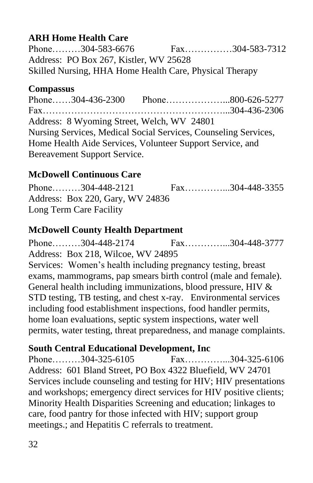# **ARH Home Health Care**

Phone………304-583-6676 Fax……………304-583-7312 Address: PO Box 267, Kistler, WV 25628 Skilled Nursing, HHA Home Health Care, Physical Therapy

# **Compassus**

Phone……304-436-2300 Phone…………………800-626-5277 Fax…………………………………………………...304-436-2306 Address: 8 Wyoming Street, Welch, WV 24801 Nursing Services, Medical Social Services, Counseling Services, Home Health Aide Services, Volunteer Support Service, and Bereavement Support Service.

# **McDowell Continuous Care**

Phone………304-448-2121 Fax……………304-448-3355 Address: Box 220, Gary, WV 24836 Long Term Care Facility

# **McDowell County Health Department**

Phone………304-448-2174 Fax…………...304-448-3777 Address: Box 218, Wilcoe, WV 24895 Services: Women's health including pregnancy testing, breast exams, mammograms, pap smears birth control (male and female). General health including immunizations, blood pressure, HIV & STD testing, TB testing, and chest x-ray. Environmental services including food establishment inspections, food handler permits, home loan evaluations, septic system inspections, water well permits, water testing, threat preparedness, and manage complaints.

# **South Central Educational Development, Inc**

Phone………304-325-6105 Fax……………304-325-6106 Address: 601 Bland Street, PO Box 4322 Bluefield, WV 24701 Services include counseling and testing for HIV; HIV presentations and workshops; emergency direct services for HIV positive clients; Minority Health Disparities Screening and education; linkages to care, food pantry for those infected with HIV; support group meetings.; and Hepatitis C referrals to treatment.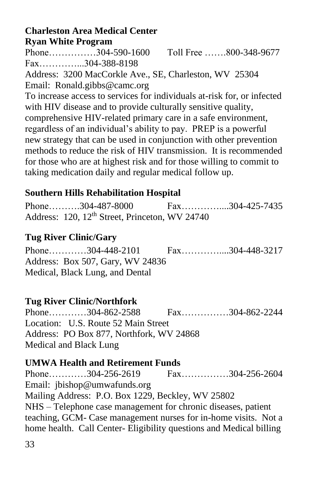#### **Charleston Area Medical Center Ryan White Program**

Phone……………304-590-1600 Toll Free …….800-348-9677 Fax…………...304-388-8198

Address: 3200 MacCorkle Ave., SE, Charleston, WV 25304 Email: [Ronald.gibbs@camc.org](mailto:Ronald.gibbs@camc.org)

To increase access to services for individuals at-risk for, or infected with HIV disease and to provide culturally sensitive quality, comprehensive HIV-related primary care in a safe environment, regardless of an individual's ability to pay. PREP is a powerful new strategy that can be used in conjunction with other prevention methods to reduce the risk of HIV transmission. It is recommended for those who are at highest risk and for those willing to commit to taking medication daily and regular medical follow up.

# **Southern Hills Rehabilitation Hospital**

| Phone304-487-8000                                          | $Fax$ 304-425-7435 |  |
|------------------------------------------------------------|--------------------|--|
| Address: 120, 12 <sup>th</sup> Street, Princeton, WV 24740 |                    |  |

# **Tug River Clinic/Gary**

Phone…………304-448-2101 Fax…………....304-448-3217 Address: Box 507, Gary, WV 24836 Medical, Black Lung, and Dental

# **Tug River Clinic/Northfork**

Phone…………304-862-2588 Fax……………304-862-2244 Location: U.S. Route 52 Main Street Address: PO Box 877, Northfork, WV 24868 Medical and Black Lung

# **UMWA Health and Retirement Funds**

Phone…………304-256-2619 Fax……………304-256-2604 Email: [jbishop@umwafunds.org](mailto:jbishop@umwafunds.org) Mailing Address: P.O. Box 1229, Beckley, WV 25802 NHS – Telephone case management for chronic diseases, patient teaching, GCM- Case management nurses for in-home visits. Not a home health. Call Center- Eligibility questions and Medical billing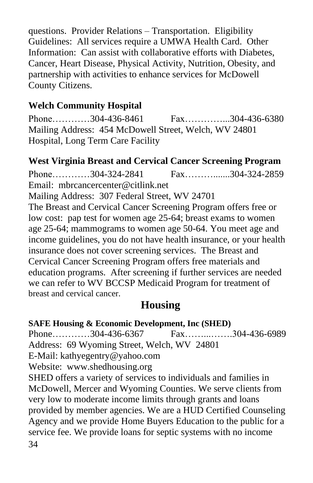questions. Provider Relations – Transportation. Eligibility Guidelines: All services require a UMWA Health Card. Other Information: Can assist with collaborative efforts with Diabetes, Cancer, Heart Disease, Physical Activity, Nutrition, Obesity, and partnership with activities to enhance services for McDowell County Citizens.

#### **Welch Community Hospital**

Phone…………304-436-8461 Fax……………304-436-6380 Mailing Address: 454 McDowell Street, Welch, WV 24801 Hospital, Long Term Care Facility

#### **West Virginia Breast and Cervical Cancer Screening Program**

Phone…………304-324-2841 Fax……….......304-324-2859 Email: [mbrcancercenter@citlink.net](mailto:mbrcancercenter@citlink.net) Mailing Address: 307 Federal Street, WV 24701 The Breast and Cervical Cancer Screening Program offers free or low cost: pap test for women age 25-64; breast exams to women age 25-64; mammograms to women age 50-64. You meet age and income guidelines, you do not have health insurance, or your health insurance does not cover screening services. The Breast and Cervical Cancer Screening Program offers free materials and education programs. After screening if further services are needed we can refer to WV BCCSP Medicaid Program for treatment of breast and cervical cancer.

# **Housing**

#### **SAFE Housing & Economic Development, Inc (SHED)**

Phone…………304-436-6367 Fax……………304-436-6989 Address:69 Wyoming Street, Welch, WV 24801 E-Mail: [kathyegentry@yahoo.com](mailto:kathyegentry@yahoo.com)

Website: [www.shedhousing.org](http://www.shedhousing.org/)

34 SHED offers a variety of services to individuals and families in McDowell, Mercer and Wyoming Counties. We serve clients from very low to moderate income limits through grants and loans provided by member agencies. We are a HUD Certified Counseling Agency and we provide Home Buyers Education to the public for a service fee. We provide loans for septic systems with no income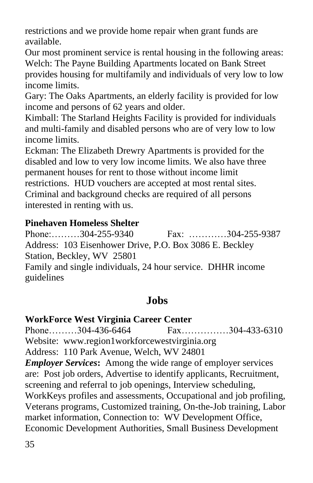restrictions and we provide home repair when grant funds are available.

Our most prominent service is rental housing in the following areas: Welch: The Payne Building Apartments located on Bank Street provides housing for multifamily and individuals of very low to low income limits.

Gary: The Oaks Apartments, an elderly facility is provided for low income and persons of 62 years and older.

Kimball: The Starland Heights Facility is provided for individuals and multi-family and disabled persons who are of very low to low income limits.

Eckman: The Elizabeth Drewry Apartments is provided for the disabled and low to very low income limits. We also have three permanent houses for rent to those without income limit restrictions. HUD vouchers are accepted at most rental sites. Criminal and background checks are required of all persons interested in renting with us.

#### **Pinehaven Homeless Shelter**

Phone:………304-255-9340 Fax: …………304-255-9387 Address: 103 Eisenhower Drive, P.O. Box 3086 E. Beckley Station, Beckley, WV 25801 Family and single individuals, 24 hour service. DHHR income guidelines

# **Jobs**

#### **WorkForce West Virginia Career Center**

Phone………304-436-6464 Fax……………304-433-6310 Website: [www.region1workforcewestvirginia.org](http://www.region1workforcewestvirginia.org/) Address:110 Park Avenue, Welch, WV 24801 *Employer Services***:** Among the wide range of employer services are: Post job orders, Advertise to identify applicants, Recruitment, screening and referral to job openings, Interview scheduling, WorkKeys profiles and assessments, Occupational and job profiling, Veterans programs, Customized training, On-the-Job training, Labor market information, Connection to: WV Development Office, Economic Development Authorities, Small Business Development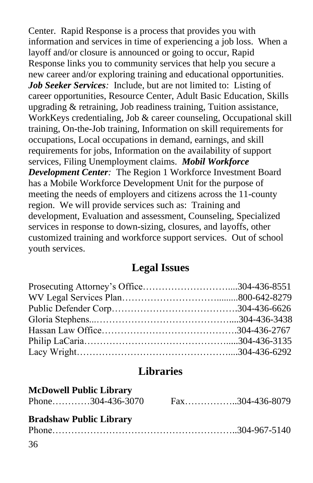Center. Rapid Response is a process that provides you with information and services in time of experiencing a job loss. When a layoff and/or closure is announced or going to occur, Rapid Response links you to community services that help you secure a new career and/or exploring training and educational opportunities. *Job Seeker Services:*Include, but are not limited to: Listing of career opportunities, Resource Center, Adult Basic Education, Skills upgrading & retraining, Job readiness training, Tuition assistance, WorkKeys credentialing, Job & career counseling, Occupational skill training, On-the-Job training, Information on skill requirements for occupations, Local occupations in demand, earnings, and skill requirements for jobs, Information on the availability of support services, Filing Unemployment claims. *Mobil Workforce Development Center:*The Region 1 Workforce Investment Board has a Mobile Workforce Development Unit for the purpose of meeting the needs of employers and citizens across the 11-county region. We will provide services such as: Training and development, Evaluation and assessment, Counseling, Specialized services in response to down-sizing, closures, and layoffs, other customized training and workforce support services. Out of school youth services.

# **Legal Issues**

# **Libraries**

| <b>McDowell Public Library</b> |                 |
|--------------------------------|-----------------|
| Phone304-436-3070              | Fax304-436-8079 |
| <b>Bradshaw Public Library</b> |                 |
|                                |                 |
| 36                             |                 |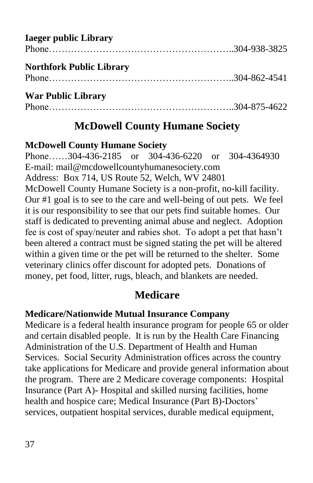| <b>Iaeger public Library</b>    |  |
|---------------------------------|--|
| <b>Northfork Public Library</b> |  |
| <b>War Public Library</b>       |  |
|                                 |  |

# **McDowell County Humane Society**

#### **McDowell County Humane Society**

Phone……304-436-2185 or 304-436-6220 or 304-4364930 E-mail: [mail@mcdowellcountyhumanesociety.com](mailto:mail@mcdowellcountyhumanesociety.com) Address:Box 714, US Route 52, Welch, WV 24801 McDowell County Humane Society is a non-profit, no-kill facility. Our #1 goal is to see to the care and well-being of out pets. We feel it is our responsibility to see that our pets find suitable homes. Our staff is dedicated to preventing animal abuse and neglect. Adoption fee is cost of spay/neuter and rabies shot. To adopt a pet that hasn't been altered a contract must be signed stating the pet will be altered within a given time or the pet will be returned to the shelter. Some veterinary clinics offer discount for adopted pets. Donations of money, pet food, litter, rugs, bleach, and blankets are needed.

# **Medicare**

# **Medicare/Nationwide Mutual Insurance Company**

Medicare is a federal health insurance program for people 65 or older and certain disabled people. It is run by the Health Care Financing Administration of the U.S. Department of Health and Human Services. Social Security Administration offices across the country take applications for Medicare and provide general information about the program. There are 2 Medicare coverage components: Hospital Insurance (Part A)- Hospital and skilled nursing facilities, home health and hospice care; Medical Insurance (Part B)-Doctors' services, outpatient hospital services, durable medical equipment,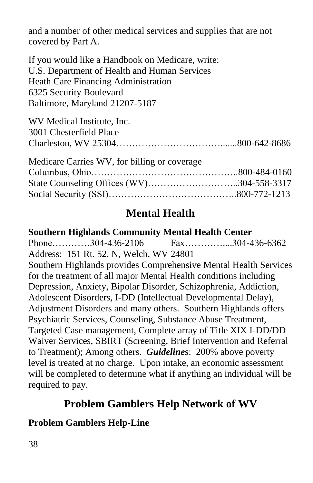and a number of other medical services and supplies that are not covered by Part A.

If you would like a Handbook on Medicare, write: U.S. Department of Health and Human Services Heath Care Financing Administration 6325 Security Boulevard Baltimore, Maryland 21207-5187

| WV Medical Institute, Inc. |  |
|----------------------------|--|
| 3001 Chesterfield Place    |  |
|                            |  |
| 1 1' C THIN C 1 '11'       |  |

| Medicare Carries WV, for billing or coverage |  |
|----------------------------------------------|--|
|                                              |  |
| State Counseling Offices (WV)304-558-3317    |  |
|                                              |  |

# **Mental Health**

#### **Southern Highlands Community Mental Health Center** Phone…………304-436-2106 Fax……………304-436-6362 Address:151 Rt. 52, N, Welch, WV 24801 Southern Highlands provides Comprehensive Mental Health Services for the treatment of all major Mental Health conditions including Depression, Anxiety, Bipolar Disorder, Schizophrenia, Addiction, Adolescent Disorders, I-DD (Intellectual Developmental Delay), Adjustment Disorders and many others. Southern Highlands offers Psychiatric Services, Counseling, Substance Abuse Treatment, Targeted Case management, Complete array of Title XIX I-DD/DD Waiver Services, SBIRT (Screening, Brief Intervention and Referral to Treatment); Among others. *Guidelines*: 200% above poverty level is treated at no charge. Upon intake, an economic assessment will be completed to determine what if anything an individual will be required to pay.

# **Problem Gamblers Help Network of WV**

# **Problem Gamblers Help-Line**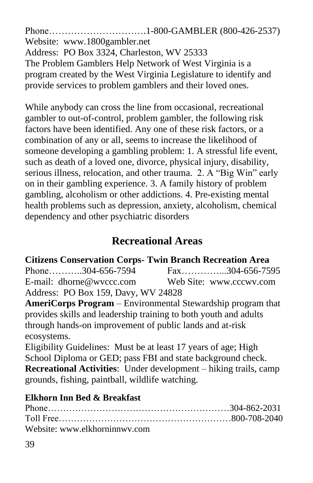Phone………………………….1-800-GAMBLER (800-426-2537) Website: [www.1800gambler.net](http://www.1800gambler.net/) Address:PO Box 3324, Charleston, WV 25333 The Problem Gamblers Help Network of West Virginia is a program created by the West Virginia Legislature to identify and provide services to problem gamblers and their loved ones.

While anybody can cross the line from occasional, recreational gambler to out-of-control, problem gambler, the following risk factors have been identified. Any one of these risk factors, or a combination of any or all, seems to increase the likelihood of someone developing a gambling problem: 1. A stressful life event, such as death of a loved one, divorce, physical injury, disability, serious illness, relocation, and other trauma. 2. A "Big Win" early on in their gambling experience. 3. A family history of problem gambling, alcoholism or other addictions. 4. Pre-existing mental health problems such as depression, anxiety, alcoholism, chemical dependency and other psychiatric disorders

# **Recreational Areas**

# **Citizens Conservation Corps- Twin Branch Recreation Area**

Phone………..304-656-7594 Fax……………..304-656-7595 E-mail: [dhorne@wvccc.com](mailto:dhorne@wvccc.com) Web Site: [www.cccwv.com](http://www.cccwv.com/) Address: PO Box 159, Davy, WV 24828

**AmeriCorps Program** – Environmental Stewardship program that provides skills and leadership training to both youth and adults through hands-on improvement of public lands and at-risk ecosystems.

Eligibility Guidelines: Must be at least 17 years of age; High School Diploma or GED; pass FBI and state background check. **Recreational Activities**: Under development – hiking trails, camp grounds, fishing, paintball, wildlife watching.

# **Elkhorn Inn Bed & Breakfast**

| Website: www.elkhorninnwy.com |  |
|-------------------------------|--|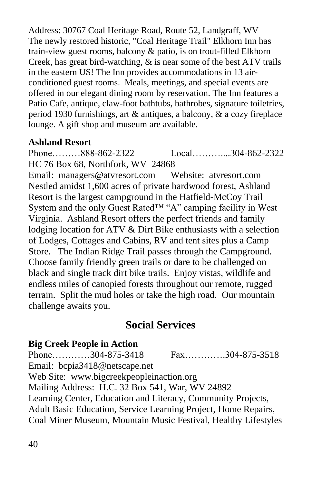Address: 30767 Coal Heritage Road, Route 52, Landgraff, WV The newly restored historic, "Coal Heritage Trail" Elkhorn Inn has train-view guest rooms, balcony & patio, is on trout-filled Elkhorn Creek, has great bird-watching, & is near some of the best ATV trails in the eastern US! The Inn provides accommodations in 13 airconditioned guest rooms. Meals, meetings, and special events are offered in our elegant dining room by reservation. The Inn features a Patio Cafe, antique, claw-foot bathtubs, bathrobes, signature toiletries, period 1930 furnishings, art & antiques, a balcony, & a cozy fireplace lounge. A gift shop and museum are available.

#### **Ashland Resort**

Phone………888-862-2322 Local…………304-862-2322 HC 76 Box 68, Northfork, WV 24868 Email: [managers@atvresort.com](mailto:managers@atvresort.com) Website: atvresort.com Nestled amidst 1,600 acres of private hardwood forest, Ashland Resort is the largest campground in the Hatfield-McCoy Trail System and the only Guest Rated™ "A" camping facility in West Virginia. Ashland Resort offers the perfect friends and family lodging location for ATV & Dirt Bike enthusiasts with a selection of Lodges, Cottages and Cabins, RV and tent sites plus a Camp Store. The Indian Ridge Trail passes through the Campground. Choose family friendly green trails or dare to be challenged on black and single track dirt bike trails. Enjoy vistas, wildlife and endless miles of canopied forests throughout our remote, rugged terrain. Split the mud holes or take the high road. Our mountain challenge awaits you.

# **Social Services**

# **Big Creek People in Action**

Phone…………304-875-3418 Fax………….304-875-3518 Email: bcpia3418@netscape.net Web Site: www.bigcreekpeopleinaction.org Mailing Address: H.C. 32 Box 541, War, WV 24892 Learning Center, Education and Literacy, Community Projects, Adult Basic Education, Service Learning Project, Home Repairs, Coal Miner Museum, Mountain Music Festival, Healthy Lifestyles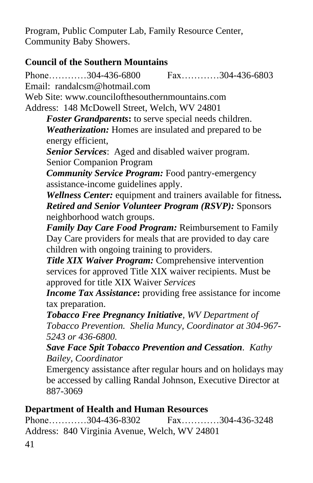Program, Public Computer Lab, Family Resource Center, Community Baby Showers.

# **Council of the Southern Mountains**

Phone…………304-436-6800 Fax…………304-436-6803 Email: [randalcsm@hotmail.com](mailto:randalcsm@hotmail.com) Web Site: [www.councilofthesouthernmountains.com](http://www.councilofthesouthernmountains.com/) Address: 148 McDowell Street, Welch, WV 24801 *Foster Grandparents***:** to serve special needs children. *Weatherization:* Homes are insulated and prepared to be energy efficient, *Senior Services*: Aged and disabled waiver program. Senior Companion Program *Community Service Program:* Food pantry-emergency assistance-income guidelines apply. *Wellness Center:* equipment and trainers available for fitness*. Retired and Senior Volunteer Program (RSVP):* Sponsors neighborhood watch groups. *Family Day Care Food Program:* Reimbursement to Family Day Care providers for meals that are provided to day care children with ongoing training to providers. *Title XIX Waiver Program:* Comprehensive intervention services for approved Title XIX waiver recipients. Must be approved for title XIX Waiver *Services Income Tax Assistance***:** providing free assistance for income tax preparation. *Tobacco Free Pregnancy Initiative, WV Department of Tobacco Prevention. Shelia Muncy, Coordinator at 304-967- 5243 or 436-6800. Save Face Spit Tobacco Prevention and Cessation. Kathy Bailey, Coordinator* Emergency assistance after regular hours and on holidays may be accessed by calling Randal Johnson, Executive Director at 887-3069

#### **Department of Health and Human Resources**

Phone…………304-436-8302 Fax…………304-436-3248 Address: 840 Virginia Avenue, Welch, WV 24801

41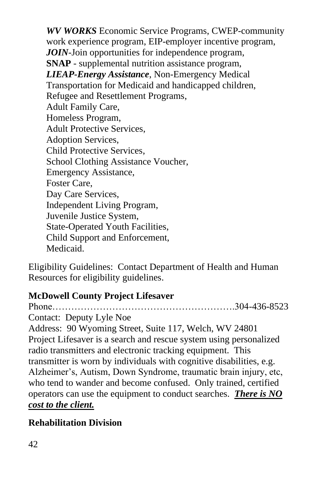*WV WORKS* Economic Service Programs, CWEP-community work experience program, EIP-employer incentive program, *JOIN*-Join opportunities for independence program, **SNAP** - supplemental nutrition assistance program, *LIEAP-Energy Assistance*, Non-Emergency Medical Transportation for Medicaid and handicapped children, Refugee and Resettlement Programs, Adult Family Care, Homeless Program, Adult Protective Services, Adoption Services, Child Protective Services, School Clothing Assistance Voucher, Emergency Assistance, Foster Care, Day Care Services, Independent Living Program, Juvenile Justice System, State-Operated Youth Facilities, Child Support and Enforcement, Medicaid.

Eligibility Guidelines: Contact Department of Health and Human Resources for eligibility guidelines.

# **McDowell County Project Lifesaver**

Phone………………………………………………….304-436-8523 Contact: Deputy Lyle Noe Address: 90 Wyoming Street, Suite 117, Welch, WV 24801 Project Lifesaver is a search and rescue system using personalized radio transmitters and electronic tracking equipment. This transmitter is worn by individuals with cognitive disabilities, e.g. Alzheimer's, Autism, Down Syndrome, traumatic brain injury, etc, who tend to wander and become confused. Only trained, certified operators can use the equipment to conduct searches. *There is NO cost to the client.*

# **Rehabilitation Division**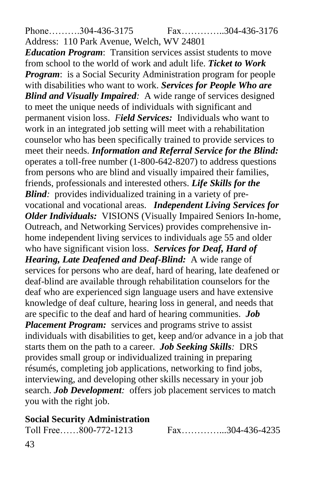Phone……….304-436-3175 Fax…………..304-436-3176

Address: 110 Park Avenue, Welch, WV 24801 *Education Program*: Transition services assist students to move from school to the world of work and adult life. *Ticket to Work Program*: is a Social Security Administration program for people with disabilities who want to work. *Services for People Who are Blind and Visually Impaired:* A wide range of services designed to meet the unique needs of individuals with significant and permanent vision loss. *Field Services:*Individuals who want to work in an integrated job setting will meet with a rehabilitation counselor who has been specifically trained to provide services to meet their needs. *Information and Referral Service for the Blind:* operates a toll-free number (1-800-642-8207) to address questions from persons who are blind and visually impaired their families, friends, professionals and interested others. *Life Skills for the Blind:* provides individualized training in a variety of prevocational and vocational areas.*Independent Living Services for Older Individuals:*VISIONS (Visually Impaired Seniors In-home, Outreach, and Networking Services) provides comprehensive inhome independent living services to individuals age 55 and older who have significant vision loss.*Services for Deaf, Hard of Hearing, Late Deafened and Deaf-Blind:* A wide range of services for persons who are deaf, hard of hearing, late deafened or deaf-blind are available through rehabilitation counselors for the deaf who are experienced sign language users and have extensive knowledge of deaf culture, hearing loss in general, and needs that are specific to the deaf and hard of hearing communities. *Job Placement Program:* services and programs strive to assist individuals with disabilities to get, keep and/or advance in a job that starts them on the path to a career. *Job Seeking Skills:*DRS provides small group or individualized training in preparing résumés, completing job applications, networking to find jobs, interviewing, and developing other skills necessary in your job search. *Job Development:* offers job placement services to match you with the right job.

#### **Social Security Administration**

Toll Free……800-772-1213 Fax……………304-436-4235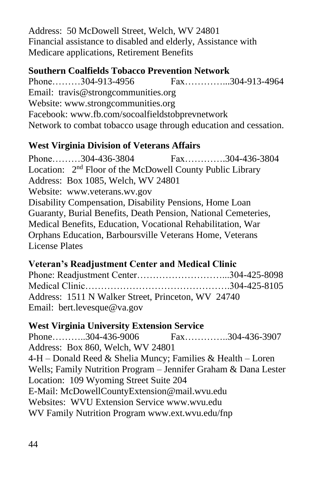Address: 50 McDowell Street, Welch, WV 24801 Financial assistance to disabled and elderly, Assistance with Medicare applications, Retirement Benefits

#### **Southern Coalfields Tobacco Prevention Network**

Phone………304-913-4956 Fax……………304-913-4964 Email: [travis@strongcommunities.org](mailto:travis@strongcommunities.org) Website: [www.strongcommunities.org](http://www.strongcommunities.org/) Facebook: [www.fb.com/socoalfieldstobprevnetwork](http://www.fb.com/socoalfieldstobprevnetwork) Network to combat tobacco usage through education and cessation.

#### **West Virginia Division of Veterans Affairs**

Phone………304-436-3804 Fax………….304-436-3804 Location: 2<sup>nd</sup> Floor of the McDowell County Public Library Address: Box 1085, Welch, WV 24801 Website: [www.veterans.wv.gov](http://www.veterans.wv.gov/) Disability Compensation, Disability Pensions, Home Loan Guaranty, Burial Benefits, Death Pension, National Cemeteries, Medical Benefits, Education, Vocational Rehabilitation, War Orphans Education, Barboursville Veterans Home, Veterans License Plates

# **Veteran's Readjustment Center and Medical Clinic**

| Address: 1511 N Walker Street, Princeton, WV 24740 |  |
|----------------------------------------------------|--|
| Email: bert.levesque@va.gov                        |  |

#### **West Virginia University Extension Service**

Phone………..304-436-9006 Fax…………..304-436-3907 Address: Box 860, Welch, WV 24801 4-H – Donald Reed & Shelia Muncy; Families & Health – Loren Wells; Family Nutrition Program – Jennifer Graham & Dana Lester Location: 109 Wyoming Street Suite 204 E-Mail: [McDowellCountyExtension@mail.wvu.edu](mailto:McDowellCountyExtension@mail.wvu.edu)  Websites:WVU Extension Service [www.wvu.edu](http://www.wvu.edu/) WV Family Nutrition Program [www.ext.wvu.edu/fnp](http://www.ext.wvu.edu/fnp)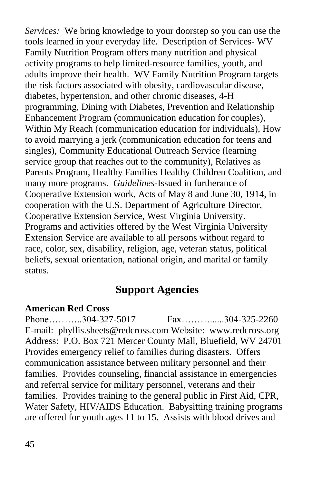*Services:* We bring knowledge to your doorstep so you can use the tools learned in your everyday life. Description of Services- WV Family Nutrition Program offers many nutrition and physical activity programs to help limited-resource families, youth, and adults improve their health. WV Family Nutrition Program targets the risk factors associated with obesity, cardiovascular disease, diabetes, hypertension, and other chronic diseases, 4-H programming, Dining with Diabetes, Prevention and Relationship Enhancement Program (communication education for couples), Within My Reach (communication education for individuals), How to avoid marrying a jerk (communication education for teens and singles), Community Educational Outreach Service (learning service group that reaches out to the community), Relatives as Parents Program, Healthy Families Healthy Children Coalition, and many more programs. *Guidelines-*Issued in furtherance of Cooperative Extension work, Acts of May 8 and June 30, 1914, in cooperation with the U.S. Department of Agriculture Director, Cooperative Extension Service, West Virginia University. Programs and activities offered by the West Virginia University Extension Service are available to all persons without regard to race, color, sex, disability, religion, age, veteran status, political beliefs, sexual orientation, national origin, and marital or family status.

# **Support Agencies**

#### **American Red Cross**

Phone………..304-327-5017 Fax…………..304-325-2260 E-mail: [phyllis.sheets@redcross.com](mailto:phyllis.sheets@redcross.com) Website: [www.redcross.org](http://www.redcross.org/) Address: P.O. Box 721 Mercer County Mall, Bluefield, WV 24701 Provides emergency relief to families during disasters. Offers communication assistance between military personnel and their families. Provides counseling, financial assistance in emergencies and referral service for military personnel, veterans and their families. Provides training to the general public in First Aid, CPR, Water Safety, HIV/AIDS Education. Babysitting training programs are offered for youth ages 11 to 15. Assists with blood drives and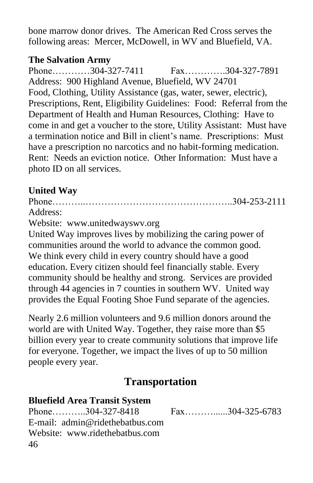bone marrow donor drives. The American Red Cross serves the following areas: Mercer, McDowell, in WV and Bluefield, VA.

#### **The Salvation Army**

Phone…………304-327-7411 Fax………….304-327-7891 Address: 900 Highland Avenue, Bluefield, WV 24701 Food, Clothing, Utility Assistance (gas, water, sewer, electric), Prescriptions, Rent, Eligibility Guidelines: Food: Referral from the Department of Health and Human Resources, Clothing: Have to come in and get a voucher to the store, Utility Assistant: Must have a termination notice and Bill in client's name. Prescriptions: Must have a prescription no narcotics and no habit-forming medication. Rent: Needs an eviction notice. Other Information: Must have a photo ID on all services.

# **United Way**

Phone………..………………………………………..304-253-2111 Address: Website: [www.unitedwayswv.org](http://www.unitedwayswv.org/) United Way improves lives by mobilizing the caring power of communities around the world to advance the common good. We think every child in every country should have a good education. Every citizen should feel financially stable. Every community should be healthy and strong. Services are provided through 44 agencies in 7 counties in southern WV. United way provides the Equal Footing Shoe Fund separate of the agencies.

Nearly 2.6 million volunteers and 9.6 million donors around the world are with United Way. Together, they raise more than \$5 billion every year to create community solutions that improve life for everyone. Together, we impact the lives of up to 50 million people every year.

# **Transportation**

| <b>Bluefield Area Transit System</b> |                 |
|--------------------------------------|-----------------|
| Phone304-327-8418                    | Fax304-325-6783 |
| E-mail: admin@ridethebatbus.com      |                 |
| Website: www.ridethebatbus.com       |                 |
| 46                                   |                 |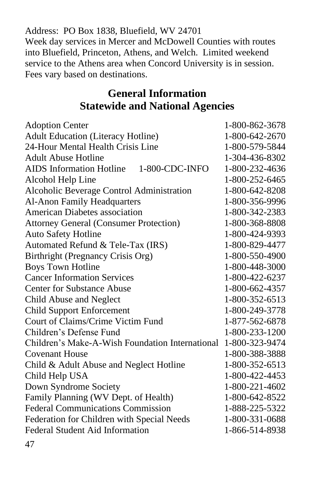Address: PO Box 1838, Bluefield, WV 24701 Week day services in Mercer and McDowell Counties with routes into Bluefield, Princeton, Athens, and Welch. Limited weekend service to the Athens area when Concord University is in session. Fees vary based on destinations.

# **General Information Statewide and National Agencies**

| <b>Adoption Center</b>                          | 1-800-862-3678 |
|-------------------------------------------------|----------------|
| <b>Adult Education (Literacy Hotline)</b>       | 1-800-642-2670 |
| 24-Hour Mental Health Crisis Line               | 1-800-579-5844 |
| <b>Adult Abuse Hotline</b>                      | 1-304-436-8302 |
| AIDS Information Hotline 1-800-CDC-INFO         | 1-800-232-4636 |
| Alcohol Help Line                               | 1-800-252-6465 |
| Alcoholic Beverage Control Administration       | 1-800-642-8208 |
| <b>Al-Anon Family Headquarters</b>              | 1-800-356-9996 |
| <b>American Diabetes association</b>            | 1-800-342-2383 |
| <b>Attorney General (Consumer Protection)</b>   | 1-800-368-8808 |
| <b>Auto Safety Hotline</b>                      | 1-800-424-9393 |
| Automated Refund & Tele-Tax (IRS)               | 1-800-829-4477 |
| Birthright (Pregnancy Crisis Org)               | 1-800-550-4900 |
| <b>Boys Town Hotline</b>                        | 1-800-448-3000 |
| <b>Cancer Information Services</b>              | 1-800-422-6237 |
| <b>Center for Substance Abuse</b>               | 1-800-662-4357 |
| Child Abuse and Neglect                         | 1-800-352-6513 |
| <b>Child Support Enforcement</b>                | 1-800-249-3778 |
| Court of Claims/Crime Victim Fund               | 1-877-562-6878 |
| Children's Defense Fund                         | 1-800-233-1200 |
| Children's Make-A-Wish Foundation International | 1-800-323-9474 |
| <b>Covenant House</b>                           | 1-800-388-3888 |
| Child & Adult Abuse and Neglect Hotline         | 1-800-352-6513 |
| Child Help USA                                  | 1-800-422-4453 |
| Down Syndrome Society                           | 1-800-221-4602 |
| Family Planning (WV Dept. of Health)            | 1-800-642-8522 |
| <b>Federal Communications Commission</b>        | 1-888-225-5322 |
| Federation for Children with Special Needs      | 1-800-331-0688 |
| <b>Federal Student Aid Information</b>          | 1-866-514-8938 |
|                                                 |                |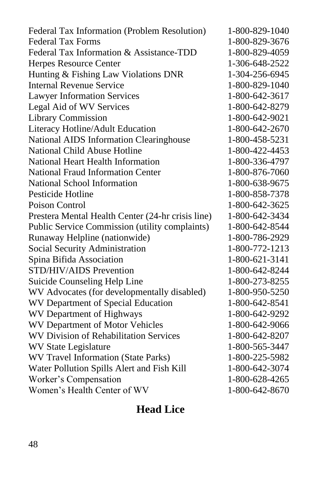Federal Tax Information (Problem Resolution) 1-800-829-1040 Federal Tax Forms 1-800-829-3676 Federal Tax Information & Assistance-TDD 1-800-829-4059 Herpes Resource Center 1-306-648-2522 Hunting & Fishing Law Violations DNR 1-304-256-6945 Internal Revenue Service 1-800-829-1040 Lawyer Information Services 1-800-642-3617 Legal Aid of WV Services 1-800-642-8279 Library Commission 1-800-642-9021 Literacy Hotline/Adult Education 1-800-642-2670 National AIDS Information Clearinghouse 1-800-458-5231 National Child Abuse Hotline 1-800-422-4453 National Heart Health Information 1-800-336-4797 National Fraud Information Center 1-800-876-7060 National School Information 1-800-638-9675 Pesticide Hotline 1-800-858-7378 Poison Control 1-800-642-3625 Prestera Mental Health Center (24-hr crisis line) 1-800-642-3434 Public Service Commission (utility complaints) 1-800-642-8544 Runaway Helpline (nationwide) 1-800-786-2929 Social Security Administration 1-800-772-1213 Spina Bifida Association 1-800-621-3141 STD/HIV/AIDS Prevention 1-800-642-8244 Suicide Counseling Help Line 1-800-273-8255 WV Advocates (for developmentally disabled) 1-800-950-5250 WV Department of Special Education 1-800-642-8541 WV Department of Highways 1-800-642-9292 WV Department of Motor Vehicles 1-800-642-9066 WV Division of Rehabilitation Services 1-800-642-8207 WV State Legislature 1-800-565-3447 WV Travel Information (State Parks) 1-800-225-5982 Water Pollution Spills Alert and Fish Kill 1-800-642-3074 Worker's Compensation 1-800-628-4265 Women's Health Center of WV 1-800-642-8670

# **Head Lice**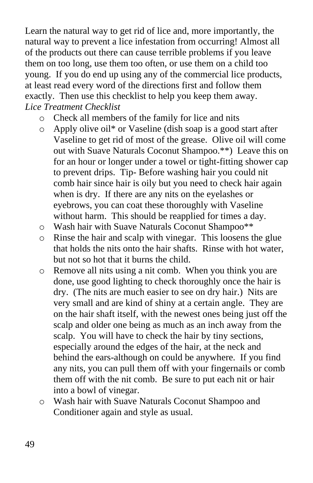Learn the natural way to get rid of lice and, more importantly, the natural way to prevent a lice infestation from occurring! Almost all of the products out there can cause terrible problems if you leave them on too long, use them too often, or use them on a child too young. If you do end up using any of the commercial lice products, at least read every word of the directions first and follow them exactly. Then use this checklist to help you keep them away. *Lice Treatment Checklist*

- o Check all members of the family for lice and nits
- o Apply olive oil\* or Vaseline (dish soap is a good start after Vaseline to get rid of most of the grease. Olive oil will come out with Suave Naturals Coconut Shampoo.\*\*) Leave this on for an hour or longer under a towel or tight-fitting shower cap to prevent drips. Tip- Before washing hair you could nit comb hair since hair is oily but you need to check hair again when is dry. If there are any nits on the eyelashes or eyebrows, you can coat these thoroughly with Vaseline without harm. This should be reapplied for times a day.
- o Wash hair with Suave Naturals Coconut Shampoo\*\*
- o Rinse the hair and scalp with vinegar. This loosens the glue that holds the nits onto the hair shafts. Rinse with hot water, but not so hot that it burns the child.
- o Remove all nits using a nit comb. When you think you are done, use good lighting to check thoroughly once the hair is dry. (The nits are much easier to see on dry hair.) Nits are very small and are kind of shiny at a certain angle. They are on the hair shaft itself, with the newest ones being just off the scalp and older one being as much as an inch away from the scalp. You will have to check the hair by tiny sections, especially around the edges of the hair, at the neck and behind the ears-although on could be anywhere. If you find any nits, you can pull them off with your fingernails or comb them off with the nit comb. Be sure to put each nit or hair into a bowl of vinegar.
- o Wash hair with Suave Naturals Coconut Shampoo and Conditioner again and style as usual.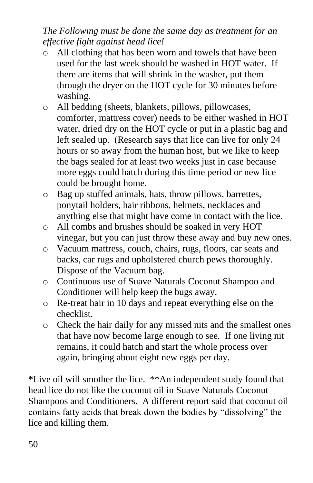# *The Following must be done the same day as treatment for an effective fight against head lice!*

- o All clothing that has been worn and towels that have been used for the last week should be washed in HOT water. If there are items that will shrink in the washer, put them through the dryer on the HOT cycle for 30 minutes before washing.
- o All bedding (sheets, blankets, pillows, pillowcases, comforter, mattress cover) needs to be either washed in HOT water, dried dry on the HOT cycle or put in a plastic bag and left sealed up. (Research says that lice can live for only 24 hours or so away from the human host, but we like to keep the bags sealed for at least two weeks just in case because more eggs could hatch during this time period or new lice could be brought home.
- o Bag up stuffed animals, hats, throw pillows, barrettes, ponytail holders, hair ribbons, helmets, necklaces and anything else that might have come in contact with the lice.
- o All combs and brushes should be soaked in very HOT vinegar, but you can just throw these away and buy new ones.
- o Vacuum mattress, couch, chairs, rugs, floors, car seats and backs, car rugs and upholstered church pews thoroughly. Dispose of the Vacuum bag.
- o Continuous use of Suave Naturals Coconut Shampoo and Conditioner will help keep the bugs away.
- o Re-treat hair in 10 days and repeat everything else on the checklist.
- o Check the hair daily for any missed nits and the smallest ones that have now become large enough to see. If one living nit remains, it could hatch and start the whole process over again, bringing about eight new eggs per day.

**\***Live oil will smother the lice. \*\*An independent study found that head lice do not like the coconut oil in Suave Naturals Coconut Shampoos and Conditioners. A different report said that coconut oil contains fatty acids that break down the bodies by "dissolving" the lice and killing them.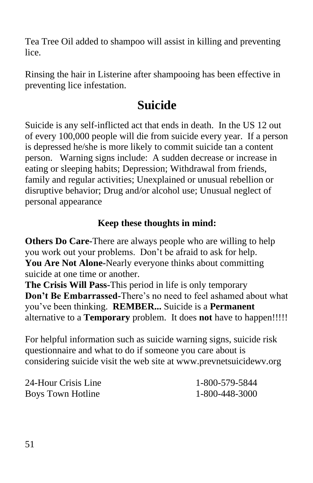Tea Tree Oil added to shampoo will assist in killing and preventing lice.

Rinsing the hair in Listerine after shampooing has been effective in preventing lice infestation.

# **Suicide**

Suicide is any self-inflicted act that ends in death. In the US 12 out of every 100,000 people will die from suicide every year. If a person is depressed he/she is more likely to commit suicide tan a content person. Warning signs include: A sudden decrease or increase in eating or sleeping habits; Depression; Withdrawal from friends, family and regular activities; Unexplained or unusual rebellion or disruptive behavior; Drug and/or alcohol use; Unusual neglect of personal appearance

# **Keep these thoughts in mind:**

**Others Do Care-**There are always people who are willing to help you work out your problems. Don't be afraid to ask for help. **You Are Not Alone-**Nearly everyone thinks about committing suicide at one time or another.

**The Crisis Will Pass-**This period in life is only temporary **Don't Be Embarrassed-**There's no need to feel ashamed about what you've been thinking. **REMBER...** Suicide is a **Permanent**  alternative to a **Temporary** problem. It does **not** have to happen!!!!!

For helpful information such as suicide warning signs, suicide risk questionnaire and what to do if someone you care about is considering suicide visit the web site at [www.prevnetsuicidewv.org](http://www.prevnetsuicidewv.org/)

| 24-Hour Crisis Line | 1-800-579-5844 |
|---------------------|----------------|
| Boys Town Hotline   | 1-800-448-3000 |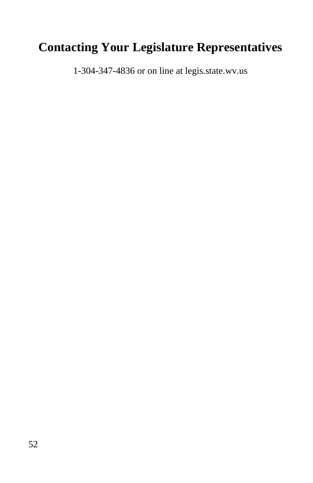# **Contacting Your Legislature Representatives**

1-304-347-4836 or on line at legis.state.wv.us